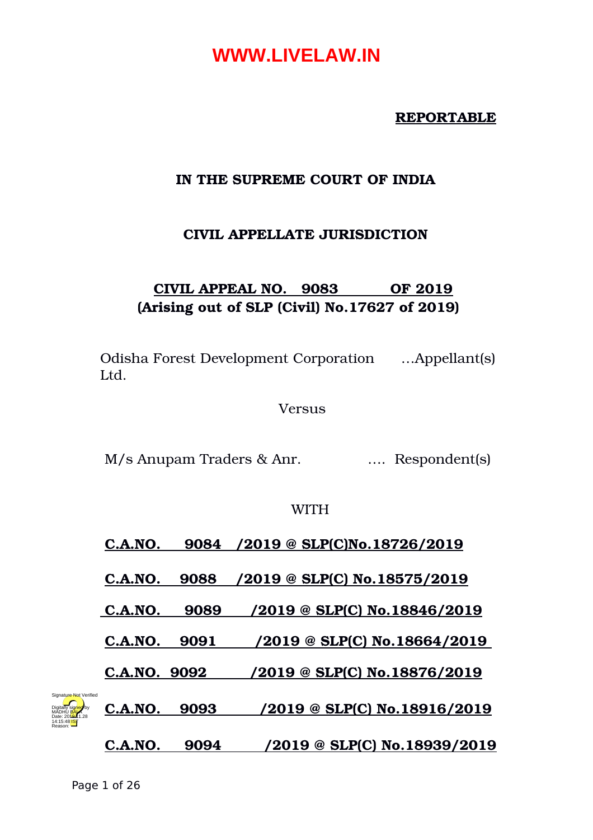#### **REPORTABLE**

#### **IN THE SUPREME COURT OF INDIA**

### **CIVIL APPELLATE JURISDICTION**

## **CIVIL APPEAL NO. 9083 OF 2019 (Arising out of SLP (Civil) No.17627 of 2019)**

Odisha Forest Development Corporation …Appellant(s) Ltd.

Versus

M/s Anupam Traders & Anr.  $\ldots$  Respondent(s)

#### **WITH**

### **C.A.NO. 9084 /2019 @ SLP(C)No.18726/2019**

**C.A.NO. 9088 /2019 @ SLP(C) No.18575/2019**

 **C.A.NO. 9089 /2019 @ SLP(C) No.18846/2019**

**C.A.NO. 9091 /2019 @ SLP(C) No.18664/2019** 

**C.A.NO. 9092 /2019 @ SLP(C) No.18876/2019**



**C.A.NO. 9093 /2019 @ SLP(C) No.18916/2019**

**C.A.NO. 9094 /2019 @ SLP(C) No.18939/2019**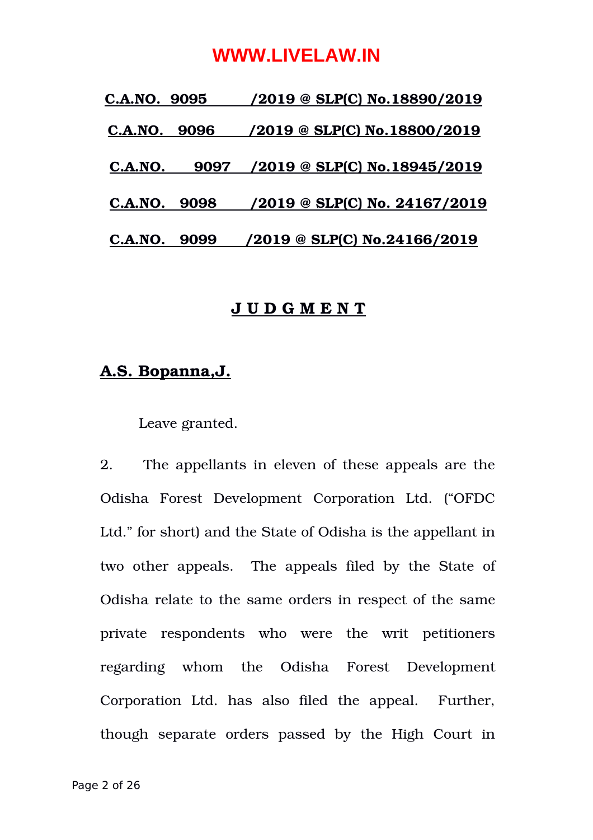| C.A.NO. 9095    | /2019 @ SLP(C) No.18890/2019         |
|-----------------|--------------------------------------|
| 9096<br>C.A.NO. | $/2019 \otimes$ SLP(C) No.18800/2019 |
| 9097<br>C.A.NO. | $/2019$ @ SLP(C) No.18945/2019       |
| C.A.NO. 9098    | <u>/2019 @ SLP(C) No. 24167/2019</u> |
| 9099<br>C.A.NO. | /2019 @ SLP(C) No.24166/2019         |
|                 |                                      |

#### **J U D G M E N T**

### **A.S. Bopanna,J.**

Leave granted.

2. The appellants in eleven of these appeals are the Odisha Forest Development Corporation Ltd. ("OFDC Ltd." for short) and the State of Odisha is the appellant in two other appeals. The appeals filed by the State of Odisha relate to the same orders in respect of the same private respondents who were the writ petitioners regarding whom the Odisha Forest Development Corporation Ltd. has also filed the appeal. Further, though separate orders passed by the High Court in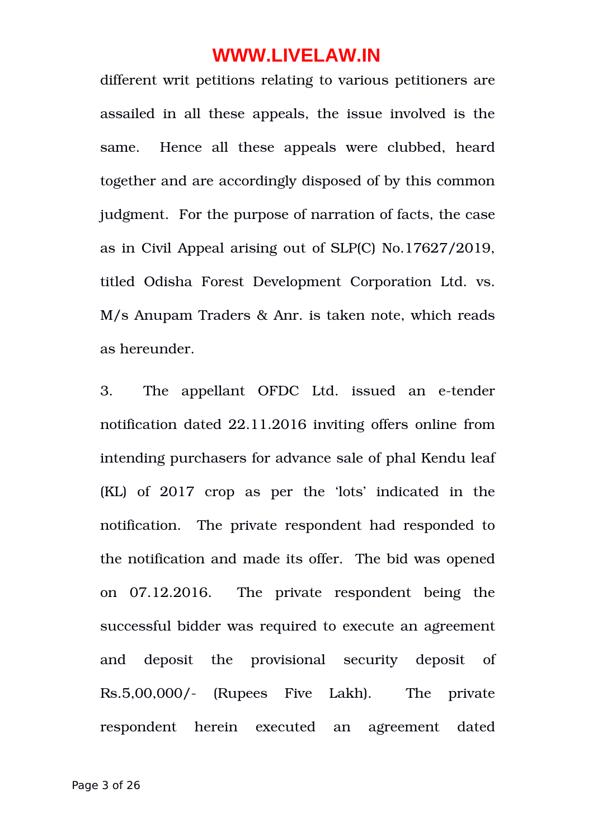different writ petitions relating to various petitioners are assailed in all these appeals, the issue involved is the same. Hence all these appeals were clubbed, heard together and are accordingly disposed of by this common judgment. For the purpose of narration of facts, the case as in Civil Appeal arising out of SLP(C) No.17627/2019, titled Odisha Forest Development Corporation Ltd. vs. M/s Anupam Traders & Anr. is taken note, which reads as hereunder.

3. The appellant OFDC Ltd. issued an e-tender notification dated 22.11.2016 inviting offers online from intending purchasers for advance sale of phal Kendu leaf (KL) of 2017 crop as per the 'lots' indicated in the notification. The private respondent had responded to the notification and made its offer. The bid was opened on 07.12.2016. The private respondent being the successful bidder was required to execute an agreement and deposit the provisional security deposit of Rs.5,00,000/ (Rupees Five Lakh). The private respondent herein executed an agreement dated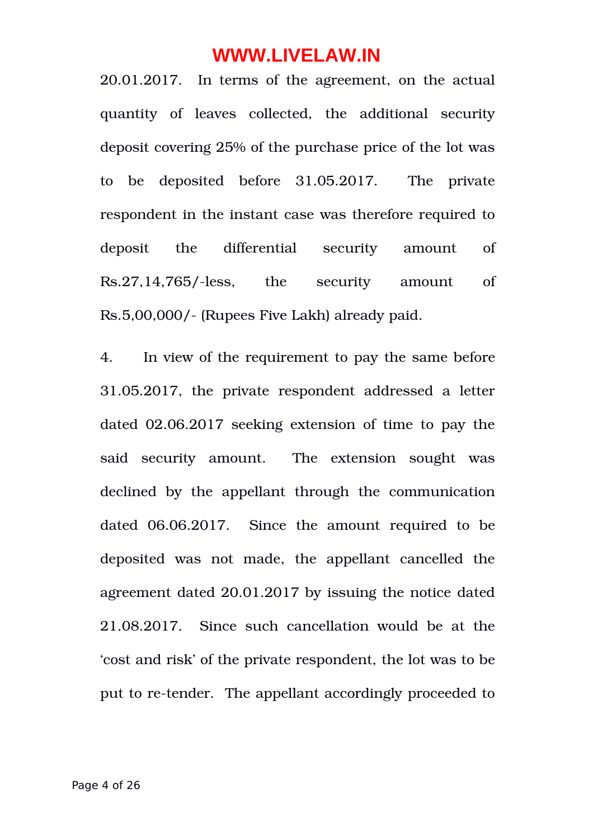20.01.2017. In terms of the agreement, on the actual quantity of leaves collected, the additional security deposit covering 25% of the purchase price of the lot was to be deposited before 31.05.2017. The private respondent in the instant case was therefore required to deposit the differential security amount of Rs.27,14,765/-less, the security amount of Rs.5,00,000/ (Rupees Five Lakh) already paid.

4. In view of the requirement to pay the same before 31.05.2017, the private respondent addressed a letter dated 02.06.2017 seeking extension of time to pay the said security amount. The extension sought was declined by the appellant through the communication dated 06.06.2017. Since the amount required to be deposited was not made, the appellant cancelled the agreement dated 20.01.2017 by issuing the notice dated 21.08.2017. Since such cancellation would be at the 'cost and risk' of the private respondent, the lot was to be put to re-tender. The appellant accordingly proceeded to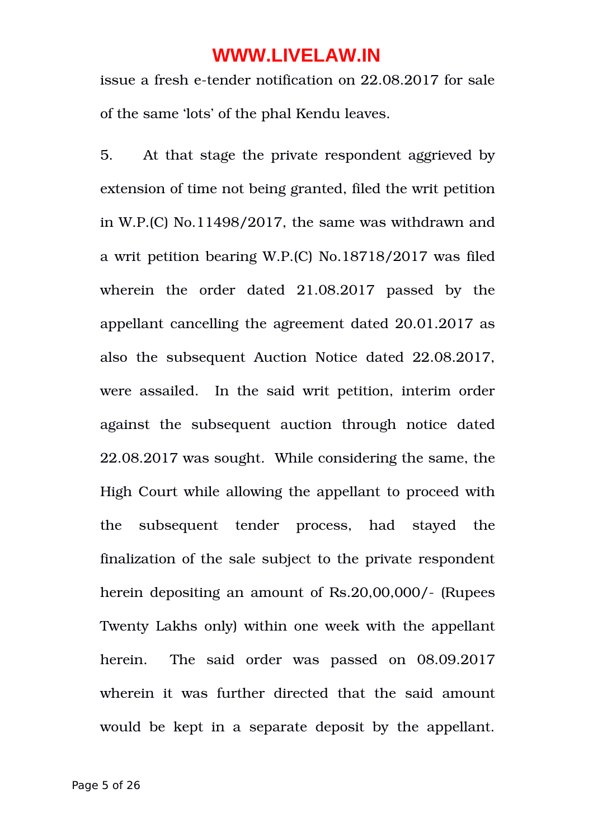issue a fresh e-tender notification on 22.08.2017 for sale of the same 'lots' of the phal Kendu leaves.

5. At that stage the private respondent aggrieved by extension of time not being granted, filed the writ petition in W.P.(C) No.11498/2017, the same was withdrawn and a writ petition bearing W.P.(C) No.18718/2017 was filed wherein the order dated 21.08.2017 passed by the appellant cancelling the agreement dated 20.01.2017 as also the subsequent Auction Notice dated 22.08.2017, were assailed. In the said writ petition, interim order against the subsequent auction through notice dated 22.08.2017 was sought. While considering the same, the High Court while allowing the appellant to proceed with the subsequent tender process, had stayed the finalization of the sale subject to the private respondent herein depositing an amount of Rs.20,00,000/- (Rupees Twenty Lakhs only) within one week with the appellant herein. The said order was passed on 08.09.2017 wherein it was further directed that the said amount would be kept in a separate deposit by the appellant.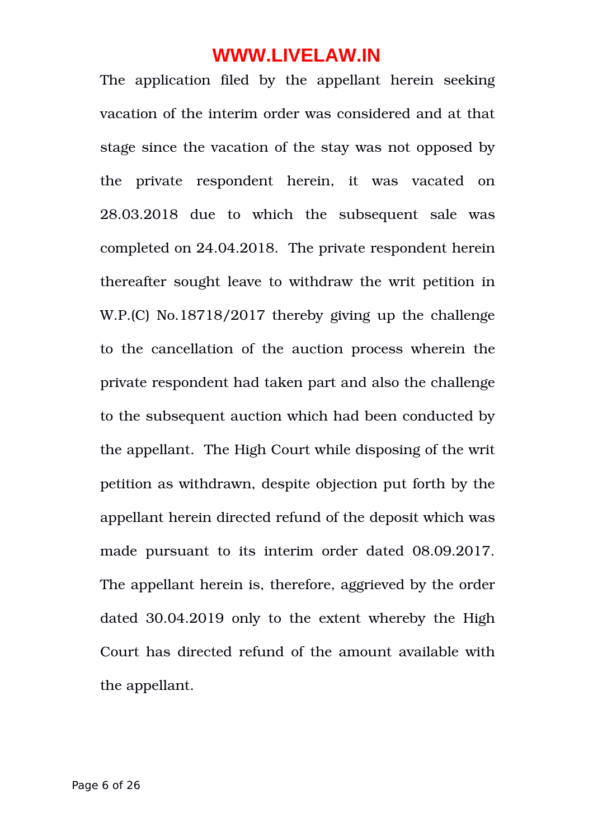The application filed by the appellant herein seeking vacation of the interim order was considered and at that stage since the vacation of the stay was not opposed by the private respondent herein, it was vacated on 28.03.2018 due to which the subsequent sale was completed on 24.04.2018. The private respondent herein thereafter sought leave to withdraw the writ petition in W.P.(C) No.18718/2017 thereby giving up the challenge to the cancellation of the auction process wherein the private respondent had taken part and also the challenge to the subsequent auction which had been conducted by the appellant. The High Court while disposing of the writ petition as withdrawn, despite objection put forth by the appellant herein directed refund of the deposit which was made pursuant to its interim order dated 08.09.2017. The appellant herein is, therefore, aggrieved by the order dated 30.04.2019 only to the extent whereby the High Court has directed refund of the amount available with the appellant.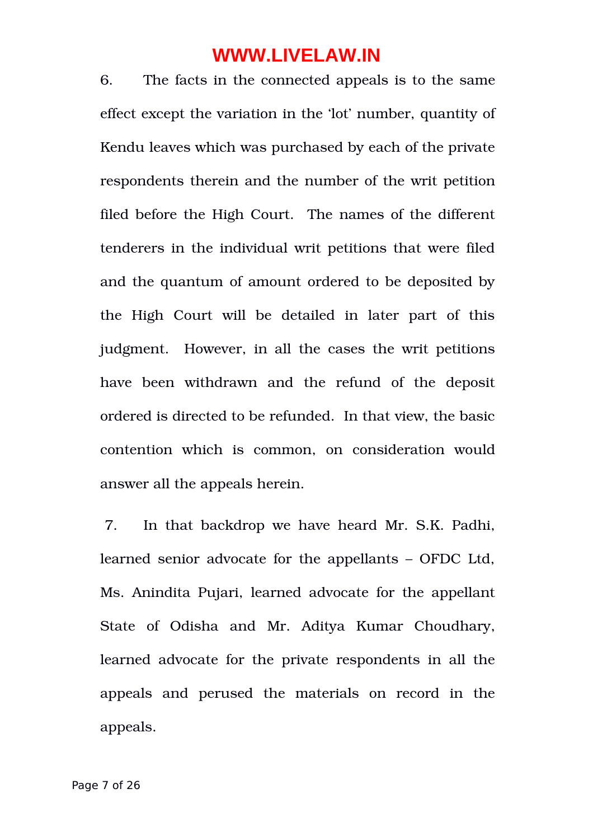6. The facts in the connected appeals is to the same effect except the variation in the 'lot' number, quantity of Kendu leaves which was purchased by each of the private respondents therein and the number of the writ petition filed before the High Court. The names of the different tenderers in the individual writ petitions that were filed and the quantum of amount ordered to be deposited by the High Court will be detailed in later part of this judgment. However, in all the cases the writ petitions have been withdrawn and the refund of the deposit ordered is directed to be refunded. In that view, the basic contention which is common, on consideration would answer all the appeals herein.

 7. In that backdrop we have heard Mr. S.K. Padhi, learned senior advocate for the appellants – OFDC Ltd, Ms. Anindita Pujari, learned advocate for the appellant State of Odisha and Mr. Aditya Kumar Choudhary, learned advocate for the private respondents in all the appeals and perused the materials on record in the appeals.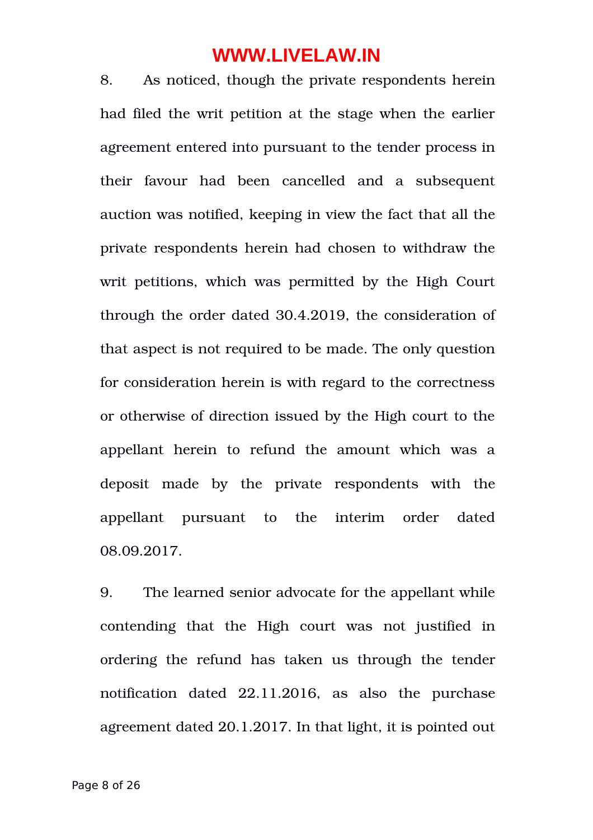8. As noticed, though the private respondents herein had filed the writ petition at the stage when the earlier agreement entered into pursuant to the tender process in their favour had been cancelled and a subsequent auction was notified, keeping in view the fact that all the private respondents herein had chosen to withdraw the writ petitions, which was permitted by the High Court through the order dated 30.4.2019, the consideration of that aspect is not required to be made. The only question for consideration herein is with regard to the correctness or otherwise of direction issued by the High court to the appellant herein to refund the amount which was a deposit made by the private respondents with the appellant pursuant to the interim order dated 08.09.2017.

9. The learned senior advocate for the appellant while contending that the High court was not justified in ordering the refund has taken us through the tender notification dated 22.11.2016, as also the purchase agreement dated 20.1.2017. In that light, it is pointed out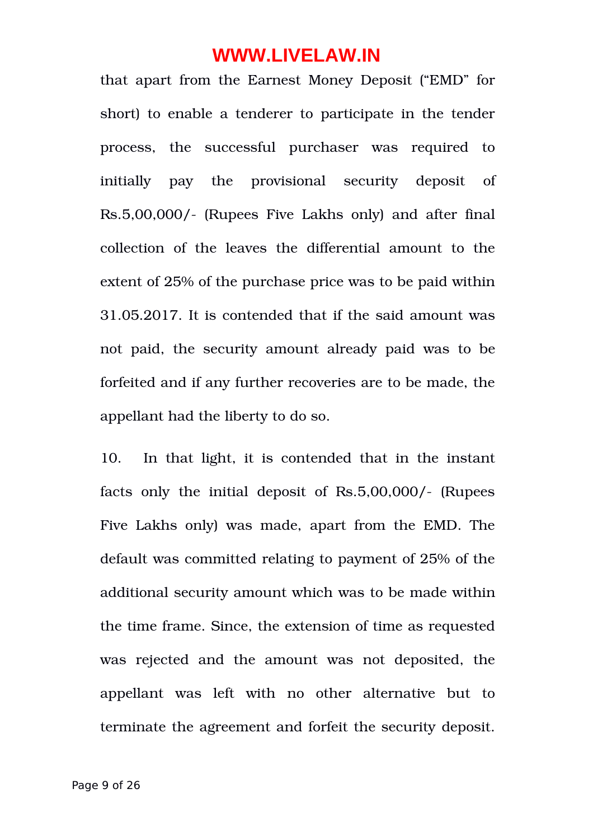that apart from the Earnest Money Deposit ("EMD" for short) to enable a tenderer to participate in the tender process, the successful purchaser was required to initially pay the provisional security deposit of Rs.5,00,000/ (Rupees Five Lakhs only) and after final collection of the leaves the differential amount to the extent of 25% of the purchase price was to be paid within 31.05.2017. It is contended that if the said amount was not paid, the security amount already paid was to be forfeited and if any further recoveries are to be made, the appellant had the liberty to do so.

10. In that light, it is contended that in the instant facts only the initial deposit of Rs.5,00,000/- (Rupees Five Lakhs only) was made, apart from the EMD. The default was committed relating to payment of 25% of the additional security amount which was to be made within the time frame. Since, the extension of time as requested was rejected and the amount was not deposited, the appellant was left with no other alternative but to terminate the agreement and forfeit the security deposit.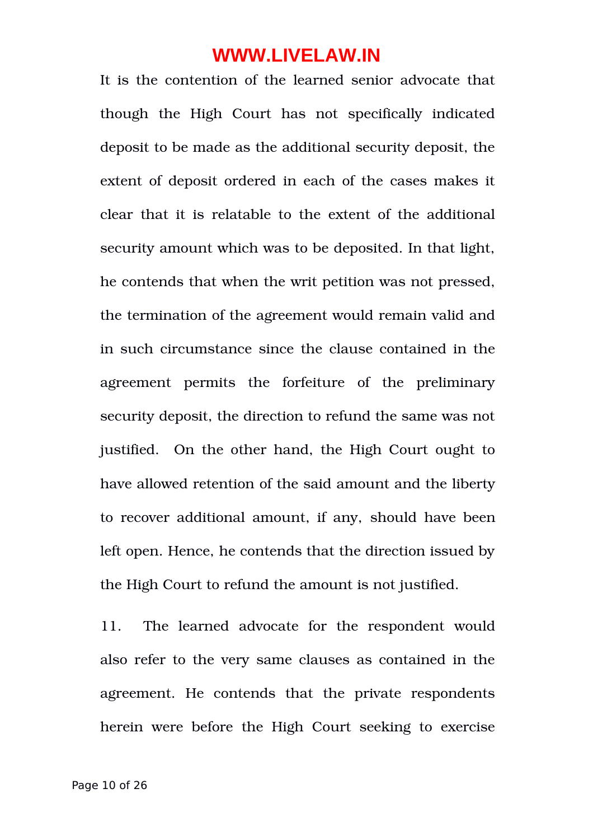It is the contention of the learned senior advocate that though the High Court has not specifically indicated deposit to be made as the additional security deposit, the extent of deposit ordered in each of the cases makes it clear that it is relatable to the extent of the additional security amount which was to be deposited. In that light, he contends that when the writ petition was not pressed, the termination of the agreement would remain valid and in such circumstance since the clause contained in the agreement permits the forfeiture of the preliminary security deposit, the direction to refund the same was not justified. On the other hand, the High Court ought to have allowed retention of the said amount and the liberty to recover additional amount, if any, should have been left open. Hence, he contends that the direction issued by the High Court to refund the amount is not justified.

11. The learned advocate for the respondent would also refer to the very same clauses as contained in the agreement. He contends that the private respondents herein were before the High Court seeking to exercise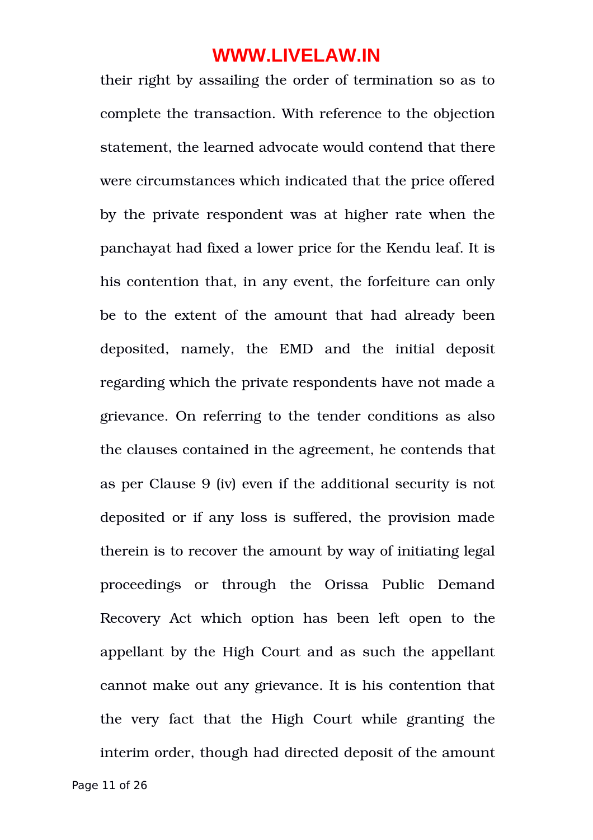their right by assailing the order of termination so as to complete the transaction. With reference to the objection statement, the learned advocate would contend that there were circumstances which indicated that the price offered by the private respondent was at higher rate when the panchayat had fixed a lower price for the Kendu leaf. It is his contention that, in any event, the forfeiture can only be to the extent of the amount that had already been deposited, namely, the EMD and the initial deposit regarding which the private respondents have not made a grievance. On referring to the tender conditions as also the clauses contained in the agreement, he contends that as per Clause 9 (iv) even if the additional security is not deposited or if any loss is suffered, the provision made therein is to recover the amount by way of initiating legal proceedings or through the Orissa Public Demand Recovery Act which option has been left open to the appellant by the High Court and as such the appellant cannot make out any grievance. It is his contention that the very fact that the High Court while granting the interim order, though had directed deposit of the amount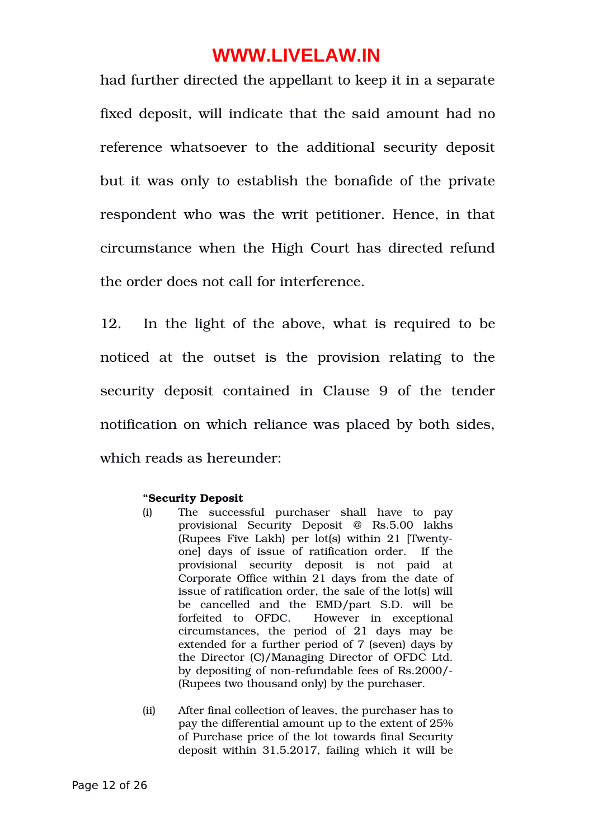had further directed the appellant to keep it in a separate fixed deposit, will indicate that the said amount had no reference whatsoever to the additional security deposit but it was only to establish the bonafide of the private respondent who was the writ petitioner. Hence, in that circumstance when the High Court has directed refund the order does not call for interference.

12. In the light of the above, what is required to be noticed at the outset is the provision relating to the security deposit contained in Clause 9 of the tender notification on which reliance was placed by both sides, which reads as hereunder:

#### **"Security Deposit**

- (i) The successful purchaser shall have to pay provisional Security Deposit @ Rs.5.00 lakhs (Rupees Five Lakh) per lot(s) within 21 [Twentyonel days of issue of ratification order. If the provisional security deposit is not paid at Corporate Office within 21 days from the date of issue of ratification order, the sale of the lot(s) will be cancelled and the EMD/part S.D. will be forfeited to OFDC. However in exceptional circumstances, the period of 21 days may be extended for a further period of 7 (seven) days by the Director (C)/Managing Director of OFDC Ltd. by depositing of non-refundable fees of Rs.2000/-(Rupees two thousand only) by the purchaser.
- (ii) After final collection of leaves, the purchaser has to pay the differential amount up to the extent of 25% of Purchase price of the lot towards final Security deposit within 31.5.2017, failing which it will be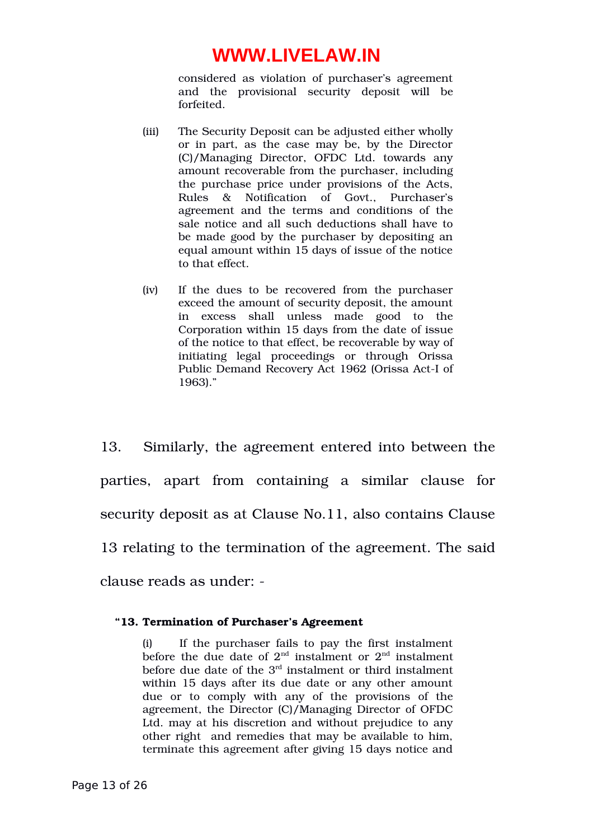considered as violation of purchaser's agreement and the provisional security deposit will be forfeited.

- (iii) The Security Deposit can be adjusted either wholly or in part, as the case may be, by the Director (C)/Managing Director, OFDC Ltd. towards any amount recoverable from the purchaser, including the purchase price under provisions of the Acts, Rules & Notification of Govt., Purchaser's agreement and the terms and conditions of the sale notice and all such deductions shall have to be made good by the purchaser by depositing an equal amount within 15 days of issue of the notice to that effect.
- (iv) If the dues to be recovered from the purchaser exceed the amount of security deposit, the amount in excess shall unless made good to the Corporation within 15 days from the date of issue of the notice to that effect, be recoverable by way of initiating legal proceedings or through Orissa Public Demand Recovery Act 1962 (Orissa Act-I of 1963)."

13. Similarly, the agreement entered into between the parties, apart from containing a similar clause for security deposit as at Clause No.11, also contains Clause 13 relating to the termination of the agreement. The said clause reads as under:

#### **"13. Termination of Purchaser's Agreement**

(i) If the purchaser fails to pay the first instalment before the due date of  $2<sup>nd</sup>$  instalment or  $2<sup>nd</sup>$  instalment before due date of the  $3<sup>rd</sup>$  instalment or third instalment within 15 days after its due date or any other amount due or to comply with any of the provisions of the agreement, the Director (C)/Managing Director of OFDC Ltd. may at his discretion and without prejudice to any other right and remedies that may be available to him, terminate this agreement after giving 15 days notice and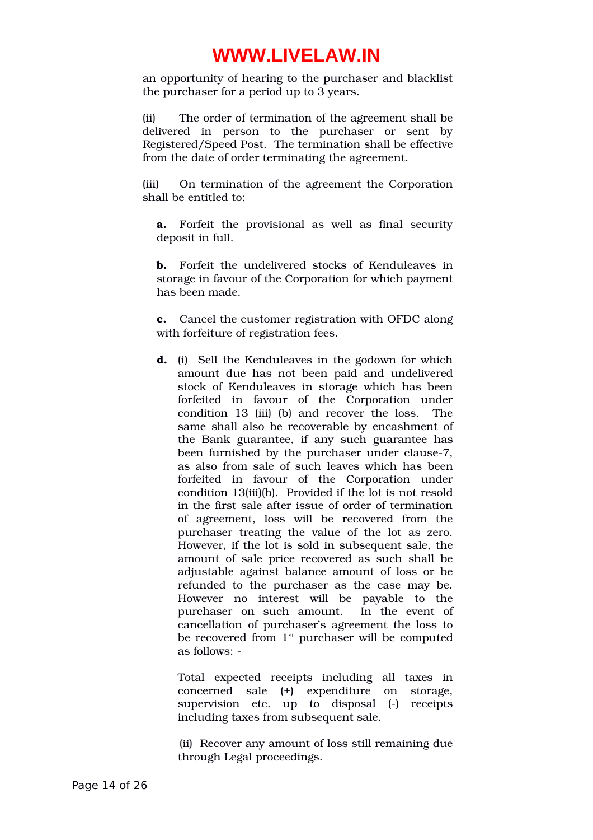an opportunity of hearing to the purchaser and blacklist the purchaser for a period up to 3 years.

(ii) The order of termination of the agreement shall be delivered in person to the purchaser or sent by Registered/Speed Post. The termination shall be effective from the date of order terminating the agreement.

(iii) On termination of the agreement the Corporation shall be entitled to:

**a.** Forfeit the provisional as well as final security deposit in full.

**b.** Forfeit the undelivered stocks of Kenduleaves in storage in favour of the Corporation for which payment has been made.

**c.** Cancel the customer registration with OFDC along with forfeiture of registration fees.

**d.** (i) Sell the Kenduleaves in the godown for which amount due has not been paid and undelivered stock of Kenduleaves in storage which has been forfeited in favour of the Corporation under condition 13 (iii) (b) and recover the loss. The same shall also be recoverable by encashment of the Bank guarantee, if any such guarantee has been furnished by the purchaser under clause-7, as also from sale of such leaves which has been forfeited in favour of the Corporation under condition 13(iii)(b). Provided if the lot is not resold in the first sale after issue of order of termination of agreement, loss will be recovered from the purchaser treating the value of the lot as zero. However, if the lot is sold in subsequent sale, the amount of sale price recovered as such shall be adjustable against balance amount of loss or be refunded to the purchaser as the case may be. However no interest will be payable to the purchaser on such amount. In the event of cancellation of purchaser's agreement the loss to be recovered from  $1<sup>st</sup>$  purchaser will be computed as follows:

Total expected receipts including all taxes in concerned sale (+) expenditure on storage, supervision etc. up to disposal (-) receipts including taxes from subsequent sale.

(ii) Recover any amount of loss still remaining due through Legal proceedings.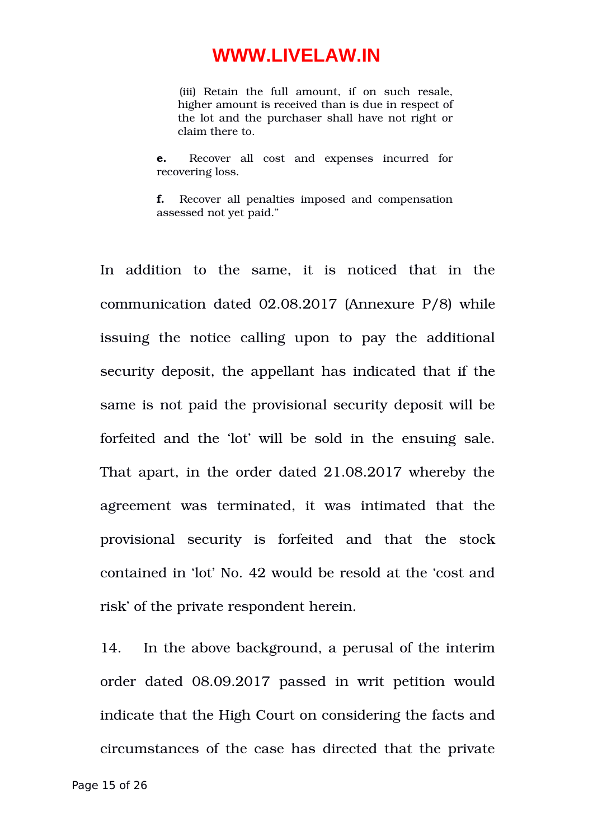(iii) Retain the full amount, if on such resale, higher amount is received than is due in respect of the lot and the purchaser shall have not right or claim there to.

**e.** Recover all cost and expenses incurred for recovering loss.

**f.** Recover all penalties imposed and compensation assessed not yet paid."

In addition to the same, it is noticed that in the communication dated 02.08.2017 (Annexure P/8) while issuing the notice calling upon to pay the additional security deposit, the appellant has indicated that if the same is not paid the provisional security deposit will be forfeited and the 'lot' will be sold in the ensuing sale. That apart, in the order dated 21.08.2017 whereby the agreement was terminated, it was intimated that the provisional security is forfeited and that the stock contained in 'lot' No. 42 would be resold at the 'cost and risk' of the private respondent herein.

14. In the above background, a perusal of the interim order dated 08.09.2017 passed in writ petition would indicate that the High Court on considering the facts and circumstances of the case has directed that the private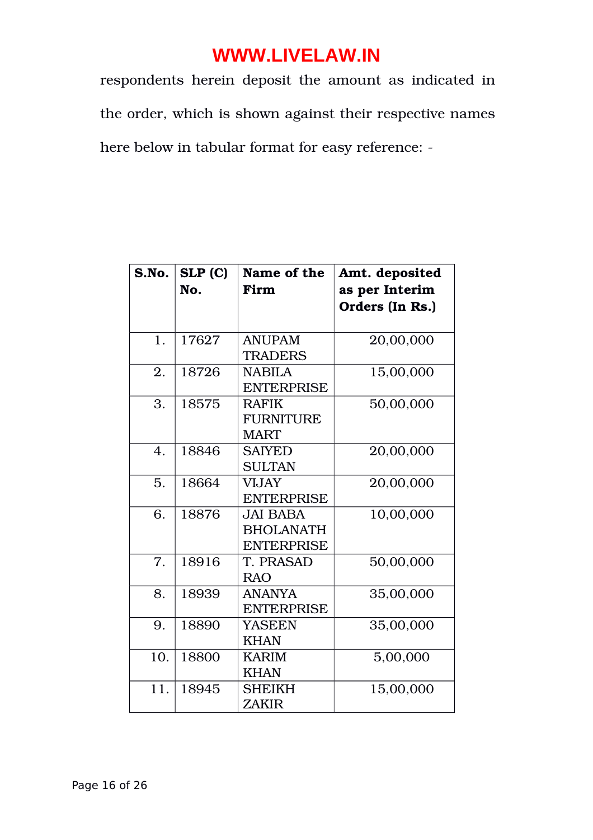respondents herein deposit the amount as indicated in the order, which is shown against their respective names here below in tabular format for easy reference:

| S.No. | SLP(C)<br>No. | Name of the<br>Firm                                      | Amt. deposited<br>as per Interim<br>Orders (In Rs.) |
|-------|---------------|----------------------------------------------------------|-----------------------------------------------------|
|       |               |                                                          |                                                     |
| 1.    | 17627         | <b>ANUPAM</b><br><b>TRADERS</b>                          | 20,00,000                                           |
| 2.    | 18726         | <b>NABILA</b><br><b>ENTERPRISE</b>                       | 15,00,000                                           |
| 3.    | 18575         | <b>RAFIK</b><br><b>FURNITURE</b><br><b>MART</b>          | 50,00,000                                           |
| 4.    | 18846         | <b>SAIYED</b><br><b>SULTAN</b>                           | 20,00,000                                           |
| 5.    | 18664         | <b>VIJAY</b><br><b>ENTERPRISE</b>                        | 20,00,000                                           |
| 6.    | 18876         | <b>JAI BABA</b><br><b>BHOLANATH</b><br><b>ENTERPRISE</b> | 10,00,000                                           |
| 7.    | 18916         | T. PRASAD<br><b>RAO</b>                                  | 50,00,000                                           |
| 8.    | 18939         | <b>ANANYA</b><br><b>ENTERPRISE</b>                       | 35,00,000                                           |
| 9.    | 18890         | YASEEN<br><b>KHAN</b>                                    | 35,00,000                                           |
| 10.   | 18800         | <b>KARIM</b><br><b>KHAN</b>                              | 5,00,000                                            |
| 11.   | 18945         | <b>SHEIKH</b><br><b>ZAKIR</b>                            | 15,00,000                                           |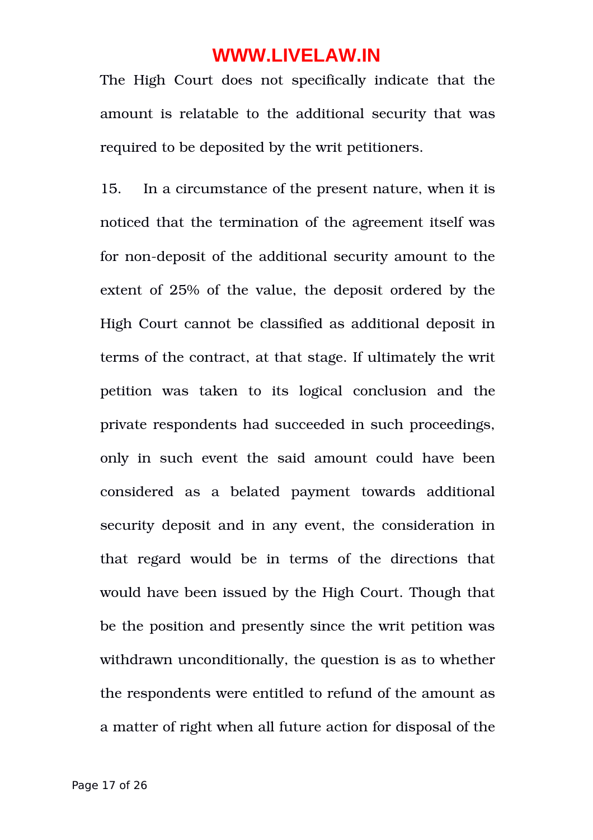The High Court does not specifically indicate that the amount is relatable to the additional security that was required to be deposited by the writ petitioners.

15. In a circumstance of the present nature, when it is noticed that the termination of the agreement itself was for non-deposit of the additional security amount to the extent of 25% of the value, the deposit ordered by the High Court cannot be classified as additional deposit in terms of the contract, at that stage. If ultimately the writ petition was taken to its logical conclusion and the private respondents had succeeded in such proceedings, only in such event the said amount could have been considered as a belated payment towards additional security deposit and in any event, the consideration in that regard would be in terms of the directions that would have been issued by the High Court. Though that be the position and presently since the writ petition was withdrawn unconditionally, the question is as to whether the respondents were entitled to refund of the amount as a matter of right when all future action for disposal of the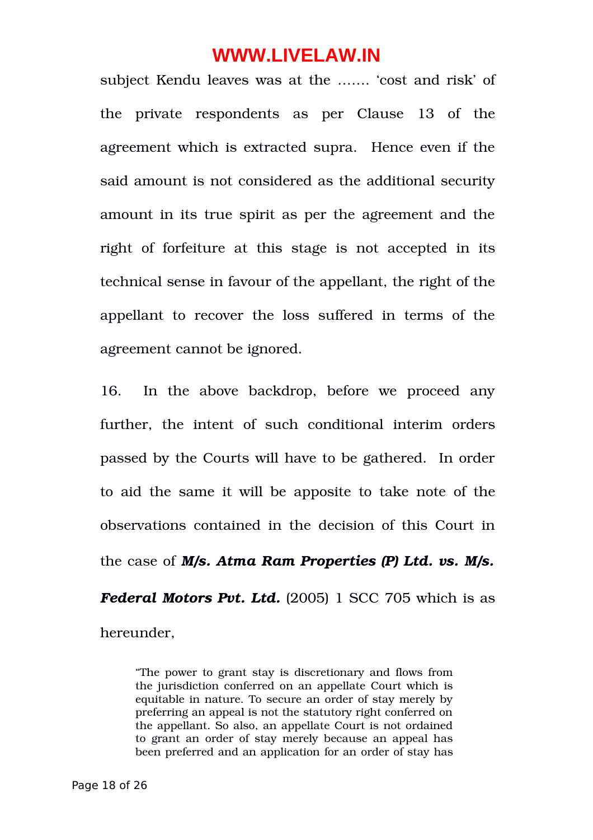subject Kendu leaves was at the ……. 'cost and risk' of the private respondents as per Clause 13 of the agreement which is extracted supra. Hence even if the said amount is not considered as the additional security amount in its true spirit as per the agreement and the right of forfeiture at this stage is not accepted in its technical sense in favour of the appellant, the right of the appellant to recover the loss suffered in terms of the agreement cannot be ignored.

16. In the above backdrop, before we proceed any further, the intent of such conditional interim orders passed by the Courts will have to be gathered. In order to aid the same it will be apposite to take note of the observations contained in the decision of this Court in the case of *M/s. Atma Ram Properties (P) Ltd. vs. M/s. Federal Motors Pvt. Ltd.* (2005) 1 SCC 705 which is as

hereunder,

"The power to grant stay is discretionary and flows from the jurisdiction conferred on an appellate Court which is equitable in nature. To secure an order of stay merely by preferring an appeal is not the statutory right conferred on the appellant. So also, an appellate Court is not ordained to grant an order of stay merely because an appeal has been preferred and an application for an order of stay has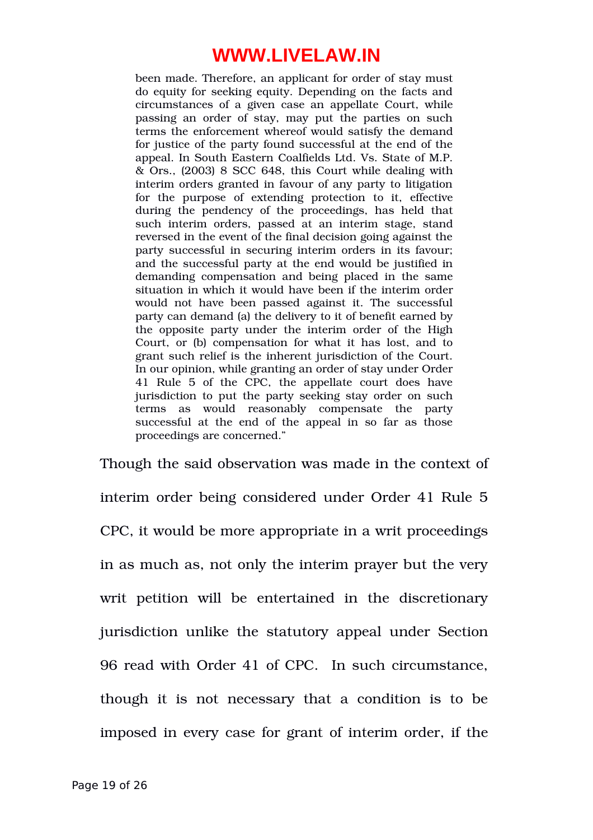been made. Therefore, an applicant for order of stay must do equity for seeking equity. Depending on the facts and circumstances of a given case an appellate Court, while passing an order of stay, may put the parties on such terms the enforcement whereof would satisfy the demand for justice of the party found successful at the end of the appeal. In South Eastern Coalfields Ltd. Vs. State of M.P. & Ors., (2003) 8 SCC 648, this Court while dealing with interim orders granted in favour of any party to litigation for the purpose of extending protection to it, effective during the pendency of the proceedings, has held that such interim orders, passed at an interim stage, stand reversed in the event of the final decision going against the party successful in securing interim orders in its favour; and the successful party at the end would be justified in demanding compensation and being placed in the same situation in which it would have been if the interim order would not have been passed against it. The successful party can demand (a) the delivery to it of benefit earned by the opposite party under the interim order of the High Court, or (b) compensation for what it has lost, and to grant such relief is the inherent jurisdiction of the Court. In our opinion, while granting an order of stay under Order 41 Rule 5 of the CPC, the appellate court does have jurisdiction to put the party seeking stay order on such terms as would reasonably compensate the party successful at the end of the appeal in so far as those proceedings are concerned."

Though the said observation was made in the context of interim order being considered under Order 41 Rule 5 CPC, it would be more appropriate in a writ proceedings in as much as, not only the interim prayer but the very writ petition will be entertained in the discretionary jurisdiction unlike the statutory appeal under Section 96 read with Order 41 of CPC. In such circumstance, though it is not necessary that a condition is to be imposed in every case for grant of interim order, if the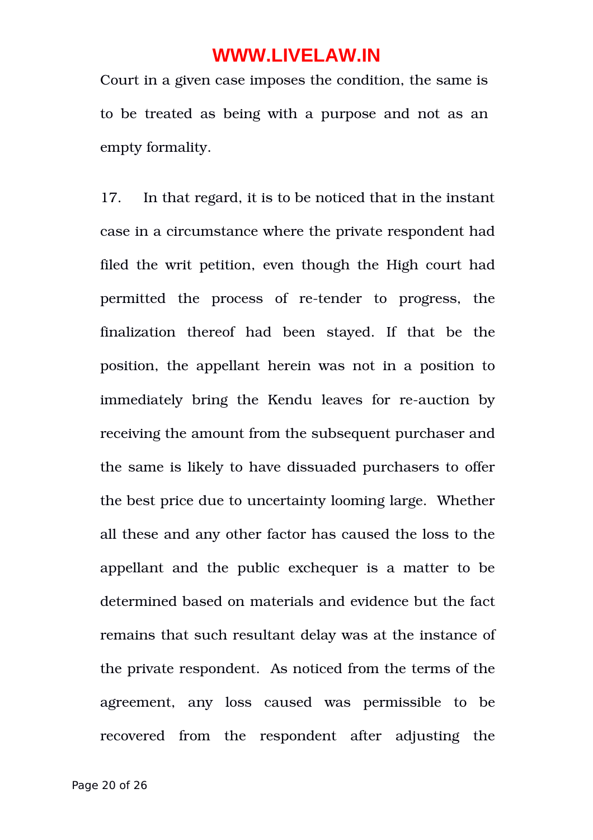Court in a given case imposes the condition, the same is to be treated as being with a purpose and not as an empty formality.

17. In that regard, it is to be noticed that in the instant case in a circumstance where the private respondent had filed the writ petition, even though the High court had permitted the process of re-tender to progress, the finalization thereof had been stayed. If that be the position, the appellant herein was not in a position to immediately bring the Kendu leaves for re-auction by receiving the amount from the subsequent purchaser and the same is likely to have dissuaded purchasers to offer the best price due to uncertainty looming large. Whether all these and any other factor has caused the loss to the appellant and the public exchequer is a matter to be determined based on materials and evidence but the fact remains that such resultant delay was at the instance of the private respondent. As noticed from the terms of the agreement, any loss caused was permissible to be recovered from the respondent after adjusting the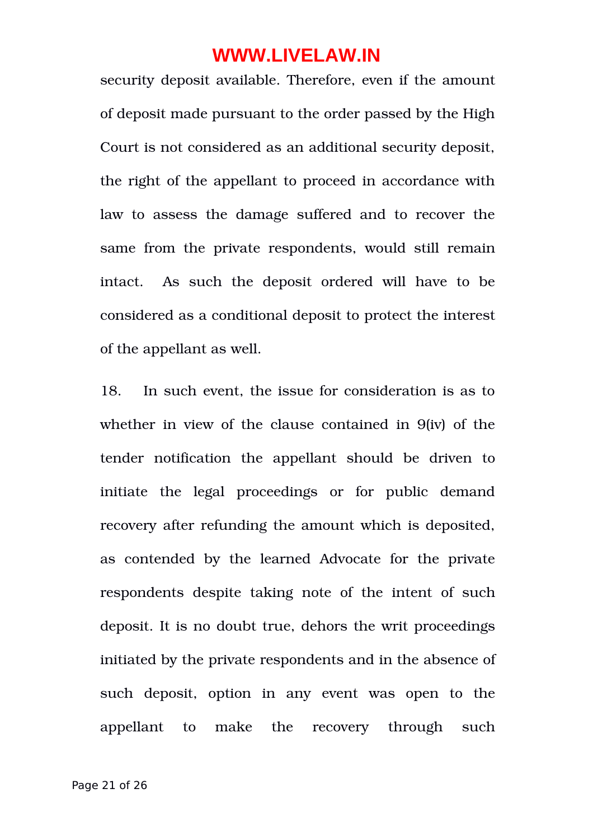security deposit available. Therefore, even if the amount of deposit made pursuant to the order passed by the High Court is not considered as an additional security deposit, the right of the appellant to proceed in accordance with law to assess the damage suffered and to recover the same from the private respondents, would still remain intact. As such the deposit ordered will have to be considered as a conditional deposit to protect the interest of the appellant as well.

18. In such event, the issue for consideration is as to whether in view of the clause contained in 9(iv) of the tender notification the appellant should be driven to initiate the legal proceedings or for public demand recovery after refunding the amount which is deposited, as contended by the learned Advocate for the private respondents despite taking note of the intent of such deposit. It is no doubt true, dehors the writ proceedings initiated by the private respondents and in the absence of such deposit, option in any event was open to the appellant to make the recovery through such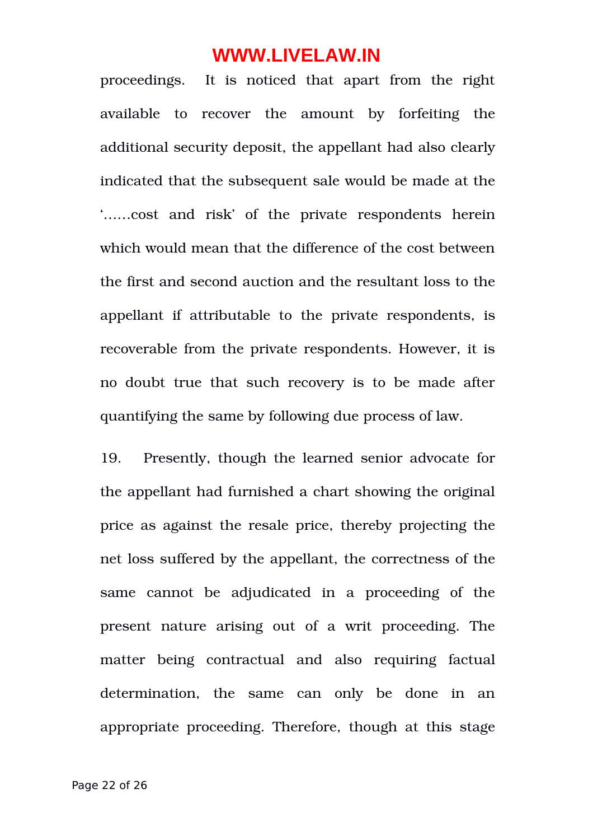proceedings. It is noticed that apart from the right available to recover the amount by forfeiting the additional security deposit, the appellant had also clearly indicated that the subsequent sale would be made at the '……cost and risk' of the private respondents herein which would mean that the difference of the cost between the first and second auction and the resultant loss to the appellant if attributable to the private respondents, is recoverable from the private respondents. However, it is no doubt true that such recovery is to be made after quantifying the same by following due process of law.

19. Presently, though the learned senior advocate for the appellant had furnished a chart showing the original price as against the resale price, thereby projecting the net loss suffered by the appellant, the correctness of the same cannot be adjudicated in a proceeding of the present nature arising out of a writ proceeding. The matter being contractual and also requiring factual determination, the same can only be done in an appropriate proceeding. Therefore, though at this stage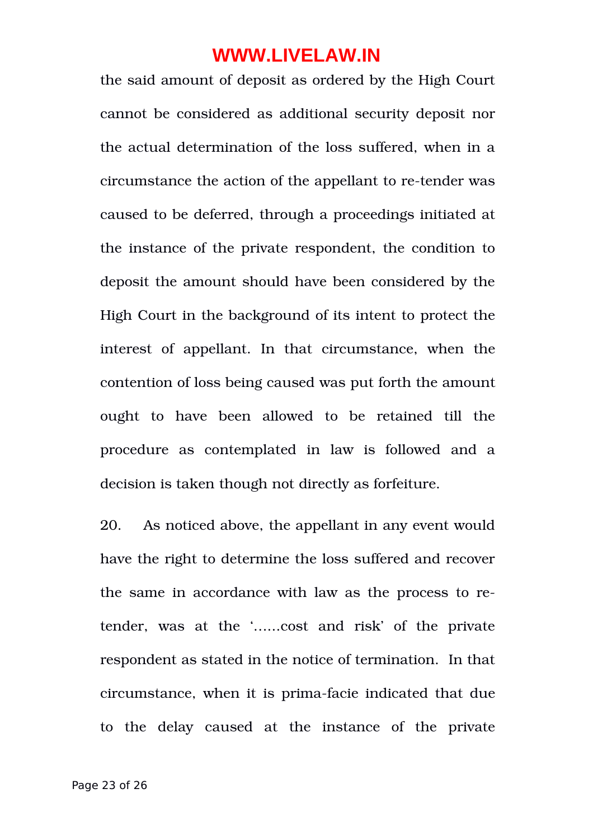the said amount of deposit as ordered by the High Court cannot be considered as additional security deposit nor the actual determination of the loss suffered, when in a circumstance the action of the appellant to re-tender was caused to be deferred, through a proceedings initiated at the instance of the private respondent, the condition to deposit the amount should have been considered by the High Court in the background of its intent to protect the interest of appellant. In that circumstance, when the contention of loss being caused was put forth the amount ought to have been allowed to be retained till the procedure as contemplated in law is followed and a decision is taken though not directly as forfeiture.

20. As noticed above, the appellant in any event would have the right to determine the loss suffered and recover the same in accordance with law as the process to retender, was at the '......cost and risk' of the private respondent as stated in the notice of termination. In that circumstance, when it is prima-facie indicated that due to the delay caused at the instance of the private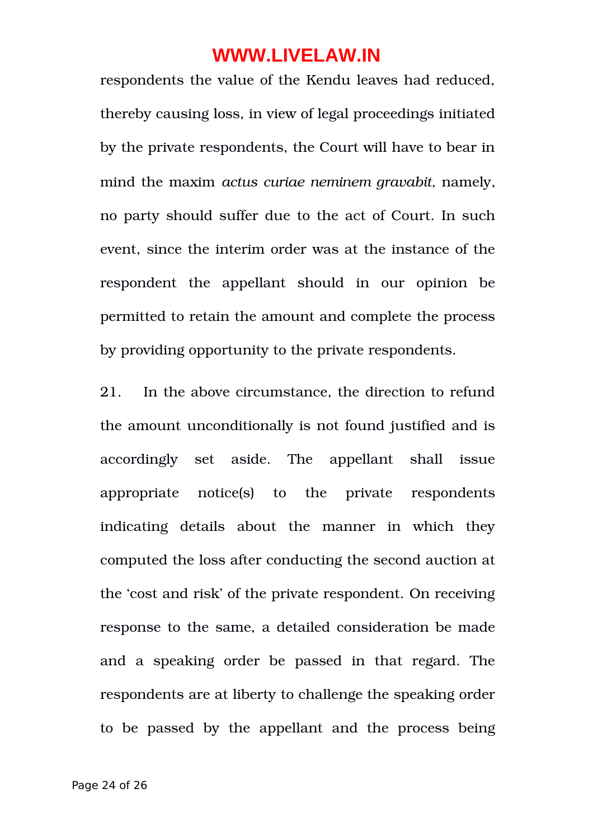respondents the value of the Kendu leaves had reduced, thereby causing loss, in view of legal proceedings initiated by the private respondents, the Court will have to bear in mind the maxim *actus curiae neminem gravabit,* namely, no party should suffer due to the act of Court. In such event, since the interim order was at the instance of the respondent the appellant should in our opinion be permitted to retain the amount and complete the process by providing opportunity to the private respondents.

21. In the above circumstance, the direction to refund the amount unconditionally is not found justified and is accordingly set aside. The appellant shall issue appropriate notice(s) to the private respondents indicating details about the manner in which they computed the loss after conducting the second auction at the 'cost and risk' of the private respondent. On receiving response to the same, a detailed consideration be made and a speaking order be passed in that regard. The respondents are at liberty to challenge the speaking order to be passed by the appellant and the process being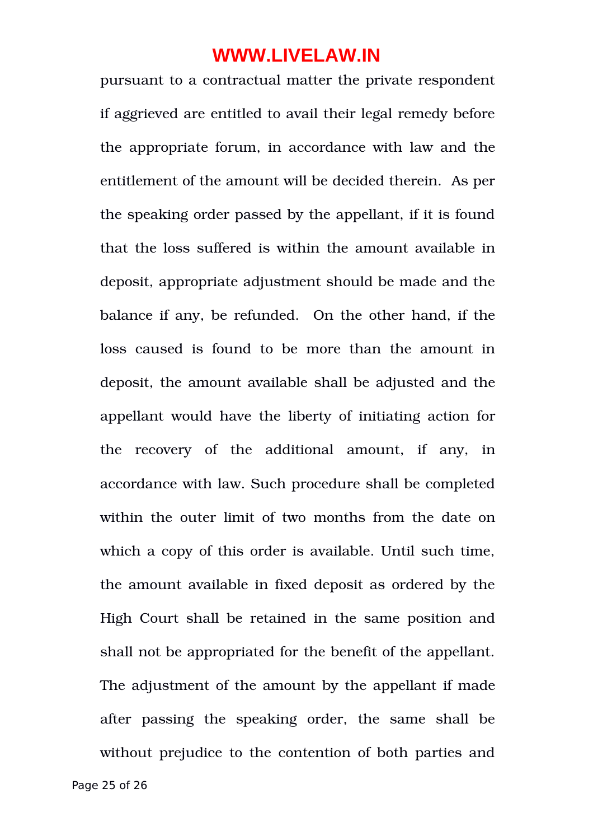pursuant to a contractual matter the private respondent if aggrieved are entitled to avail their legal remedy before the appropriate forum, in accordance with law and the entitlement of the amount will be decided therein. As per the speaking order passed by the appellant, if it is found that the loss suffered is within the amount available in deposit, appropriate adjustment should be made and the balance if any, be refunded. On the other hand, if the loss caused is found to be more than the amount in deposit, the amount available shall be adjusted and the appellant would have the liberty of initiating action for the recovery of the additional amount, if any, in accordance with law. Such procedure shall be completed within the outer limit of two months from the date on which a copy of this order is available. Until such time, the amount available in fixed deposit as ordered by the High Court shall be retained in the same position and shall not be appropriated for the benefit of the appellant. The adjustment of the amount by the appellant if made after passing the speaking order, the same shall be without prejudice to the contention of both parties and